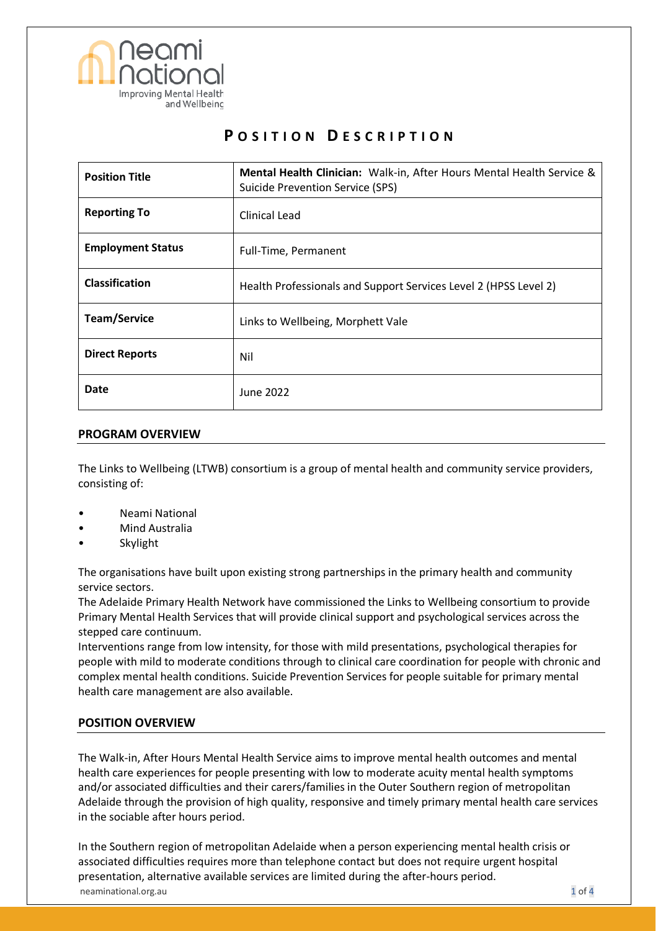

# **P O S I T I O N D E S C R I P T I O N**

| <b>Position Title</b>    | Mental Health Clinician: Walk-in, After Hours Mental Health Service &<br><b>Suicide Prevention Service (SPS)</b> |
|--------------------------|------------------------------------------------------------------------------------------------------------------|
| <b>Reporting To</b>      | Clinical Lead                                                                                                    |
| <b>Employment Status</b> | Full-Time, Permanent                                                                                             |
| <b>Classification</b>    | Health Professionals and Support Services Level 2 (HPSS Level 2)                                                 |
| <b>Team/Service</b>      | Links to Wellbeing, Morphett Vale                                                                                |
| <b>Direct Reports</b>    | Nil                                                                                                              |
| Date                     | June 2022                                                                                                        |

## **PROGRAM OVERVIEW**

The Links to Wellbeing (LTWB) consortium is a group of mental health and community service providers, consisting of:

- Neami National
- Mind Australia
- **Skylight**

The organisations have built upon existing strong partnerships in the primary health and community service sectors.

The Adelaide Primary Health Network have commissioned the Links to Wellbeing consortium to provide Primary Mental Health Services that will provide clinical support and psychological services across the stepped care continuum.

Interventions range from low intensity, for those with mild presentations, psychological therapies for people with mild to moderate conditions through to clinical care coordination for people with chronic and complex mental health conditions. Suicide Prevention Services for people suitable for primary mental health care management are also available.

# **POSITION OVERVIEW**

The Walk-in, After Hours Mental Health Service aims to improve mental health outcomes and mental health care experiences for people presenting with low to moderate acuity mental health symptoms and/or associated difficulties and their carers/families in the Outer Southern region of metropolitan Adelaide through the provision of high quality, responsive and timely primary mental health care services in the sociable after hours period.

neaminational.org.au 1 of 4 In the Southern region of metropolitan Adelaide when a person experiencing mental health crisis or associated difficulties requires more than telephone contact but does not require urgent hospital presentation, alternative available services are limited during the after-hours period.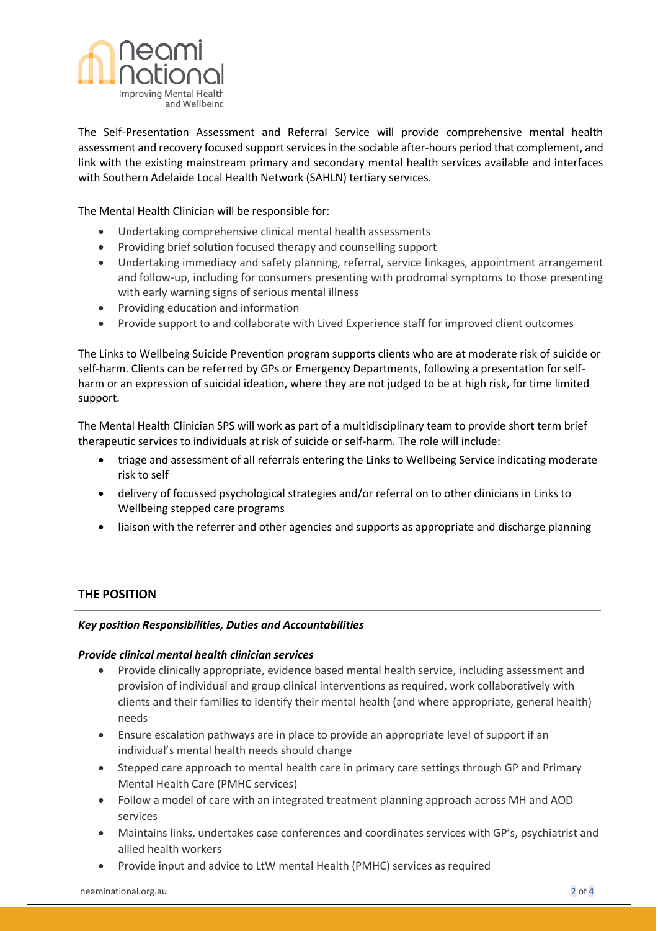

The Self-Presentation Assessment and Referral Service will provide comprehensive mental health assessment and recovery focused support services in the sociable after-hours period that complement, and link with the existing mainstream primary and secondary mental health services available and interfaces with Southern Adelaide Local Health Network (SAHLN) tertiary services.

The Mental Health Clinician will be responsible for:

- Undertaking comprehensive clinical mental health assessments
- Providing brief solution focused therapy and counselling support
- Undertaking immediacy and safety planning, referral, service linkages, appointment arrangement and follow-up, including for consumers presenting with prodromal symptoms to those presenting with early warning signs of serious mental illness
- Providing education and information
- Provide support to and collaborate with Lived Experience staff for improved client outcomes

The Links to Wellbeing Suicide Prevention program supports clients who are at moderate risk of suicide or self-harm. Clients can be referred by GPs or Emergency Departments, following a presentation for selfharm or an expression of suicidal ideation, where they are not judged to be at high risk, for time limited support.

The Mental Health Clinician SPS will work as part of a multidisciplinary team to provide short term brief therapeutic services to individuals at risk of suicide or self-harm. The role will include:

- triage and assessment of all referrals entering the Links to Wellbeing Service indicating moderate risk to self
- delivery of focussed psychological strategies and/or referral on to other clinicians in Links to Wellbeing stepped care programs
- liaison with the referrer and other agencies and supports as appropriate and discharge planning

# **THE POSITION**

#### *Key position Responsibilities, Duties and Accountabilities*

#### *Provide clinical mental health clinician services*

- Provide clinically appropriate, evidence based mental health service, including assessment and provision of individual and group clinical interventions as required, work collaboratively with clients and their families to identify their mental health (and where appropriate, general health) needs
- Ensure escalation pathways are in place to provide an appropriate level of support if an individual's mental health needs should change
- Stepped care approach to mental health care in primary care settings through GP and Primary Mental Health Care (PMHC services)
- Follow a model of care with an integrated treatment planning approach across MH and AOD services
- Maintains links, undertakes case conferences and coordinates services with GP's, psychiatrist and allied health workers
- Provide input and advice to LtW mental Health (PMHC) services as required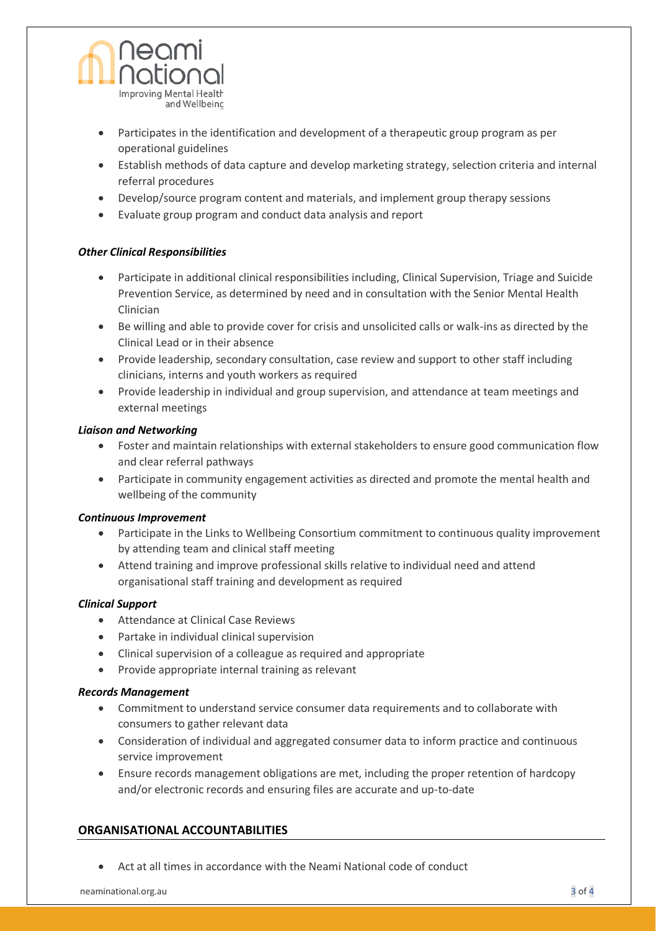

- Participates in the identification and development of a therapeutic group program as per operational guidelines
- Establish methods of data capture and develop marketing strategy, selection criteria and internal referral procedures
- Develop/source program content and materials, and implement group therapy sessions
- Evaluate group program and conduct data analysis and report

#### *Other Clinical Responsibilities*

- Participate in additional clinical responsibilities including, Clinical Supervision, Triage and Suicide Prevention Service, as determined by need and in consultation with the Senior Mental Health Clinician
- Be willing and able to provide cover for crisis and unsolicited calls or walk-ins as directed by the Clinical Lead or in their absence
- Provide leadership, secondary consultation, case review and support to other staff including clinicians, interns and youth workers as required
- Provide leadership in individual and group supervision, and attendance at team meetings and external meetings

#### *Liaison and Networking*

- Foster and maintain relationships with external stakeholders to ensure good communication flow and clear referral pathways
- Participate in community engagement activities as directed and promote the mental health and wellbeing of the community

#### *Continuous Improvement*

- Participate in the Links to Wellbeing Consortium commitment to continuous quality improvement by attending team and clinical staff meeting
- Attend training and improve professional skills relative to individual need and attend organisational staff training and development as required

#### *Clinical Support*

- Attendance at Clinical Case Reviews
- Partake in individual clinical supervision
- Clinical supervision of a colleague as required and appropriate
- Provide appropriate internal training as relevant

#### *Records Management*

- Commitment to understand service consumer data requirements and to collaborate with consumers to gather relevant data
- Consideration of individual and aggregated consumer data to inform practice and continuous service improvement
- Ensure records management obligations are met, including the proper retention of hardcopy and/or electronic records and ensuring files are accurate and up-to-date

# **ORGANISATIONAL ACCOUNTABILITIES**

• Act at all times in accordance with the Neami National code of conduct